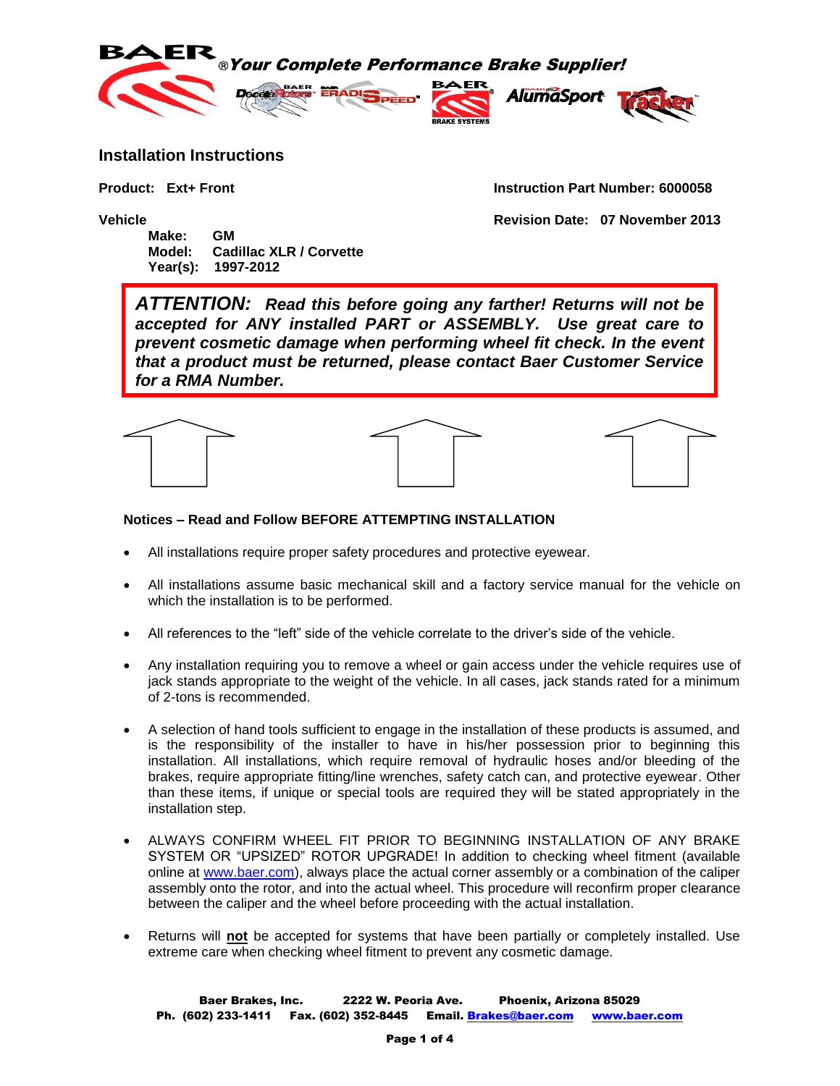

## **Installation Instructions**

**Product: Ext+ Front Instruction Part Number: 6000058**

**Vehicle Revision Date: 07 November 2013**

**Make: GM Model: Cadillac XLR / Corvette Year(s): 1997-2012**

*ATTENTION: Read this before going any farther! Returns will not be accepted for ANY installed PART or ASSEMBLY. Use great care to prevent cosmetic damage when performing wheel fit check. In the event that a product must be returned, please contact Baer Customer Service for a RMA Number.*



## **Notices – Read and Follow BEFORE ATTEMPTING INSTALLATION**

- All installations require proper safety procedures and protective eyewear.
- All installations assume basic mechanical skill and a factory service manual for the vehicle on which the installation is to be performed.
- All references to the "left" side of the vehicle correlate to the driver's side of the vehicle.
- Any installation requiring you to remove a wheel or gain access under the vehicle requires use of jack stands appropriate to the weight of the vehicle. In all cases, jack stands rated for a minimum of 2-tons is recommended.
- A selection of hand tools sufficient to engage in the installation of these products is assumed, and is the responsibility of the installer to have in his/her possession prior to beginning this installation. All installations, which require removal of hydraulic hoses and/or bleeding of the brakes, require appropriate fitting/line wrenches, safety catch can, and protective eyewear. Other than these items, if unique or special tools are required they will be stated appropriately in the installation step.
- ALWAYS CONFIRM WHEEL FIT PRIOR TO BEGINNING INSTALLATION OF ANY BRAKE SYSTEM OR "UPSIZED" ROTOR UPGRADE! In addition to checking wheel fitment (available online at [www.baer.com\)](http://www.baer.com/), always place the actual corner assembly or a combination of the caliper assembly onto the rotor, and into the actual wheel. This procedure will reconfirm proper clearance between the caliper and the wheel before proceeding with the actual installation.
- Returns will **not** be accepted for systems that have been partially or completely installed. Use extreme care when checking wheel fitment to prevent any cosmetic damage.

Baer Brakes, Inc. 2222 W. Peoria Ave. Phoenix, Arizona 85029 Ph. (602) 233-1411 Fax. (602) 352-8445 Email. [Brakes@baer.com](mailto:Brakes@baer.com) www.baer.com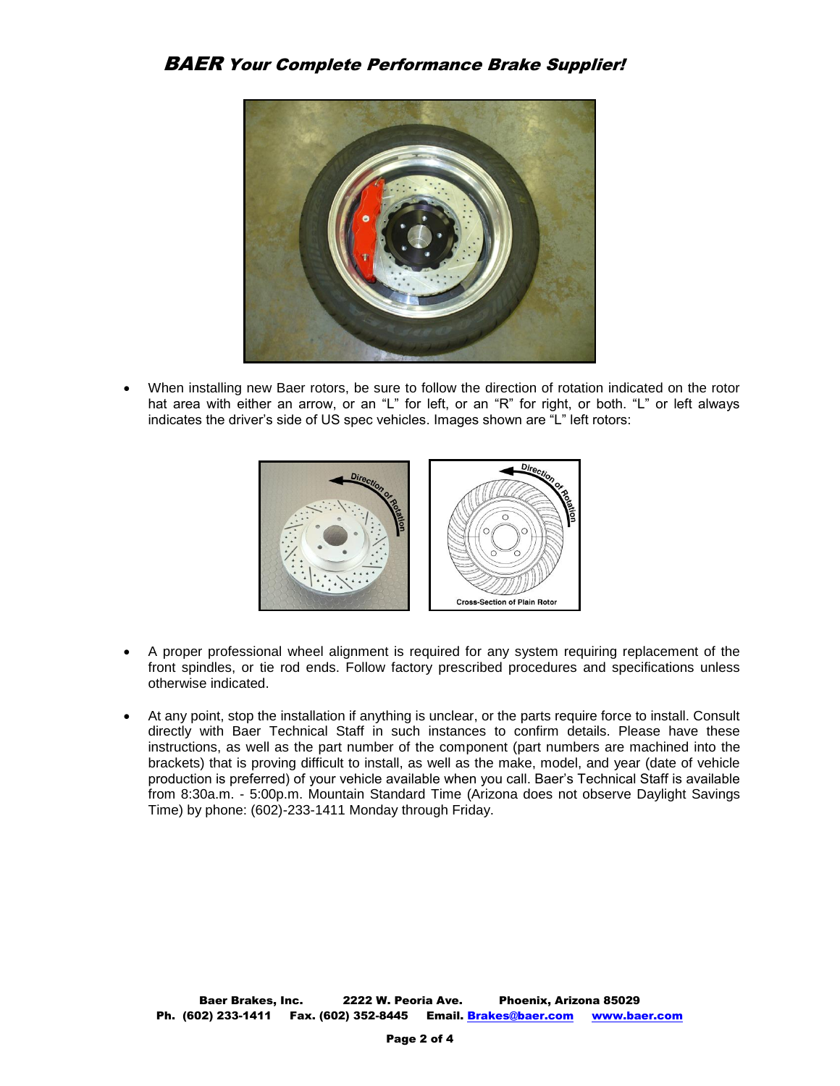

 When installing new Baer rotors, be sure to follow the direction of rotation indicated on the rotor hat area with either an arrow, or an "L" for left, or an "R" for right, or both. "L" or left always indicates the driver's side of US spec vehicles. Images shown are "L" left rotors:



- A proper professional wheel alignment is required for any system requiring replacement of the front spindles, or tie rod ends. Follow factory prescribed procedures and specifications unless otherwise indicated.
- At any point, stop the installation if anything is unclear, or the parts require force to install. Consult directly with Baer Technical Staff in such instances to confirm details. Please have these instructions, as well as the part number of the component (part numbers are machined into the brackets) that is proving difficult to install, as well as the make, model, and year (date of vehicle production is preferred) of your vehicle available when you call. Baer's Technical Staff is available from 8:30a.m. - 5:00p.m. Mountain Standard Time (Arizona does not observe Daylight Savings Time) by phone: (602)-233-1411 Monday through Friday.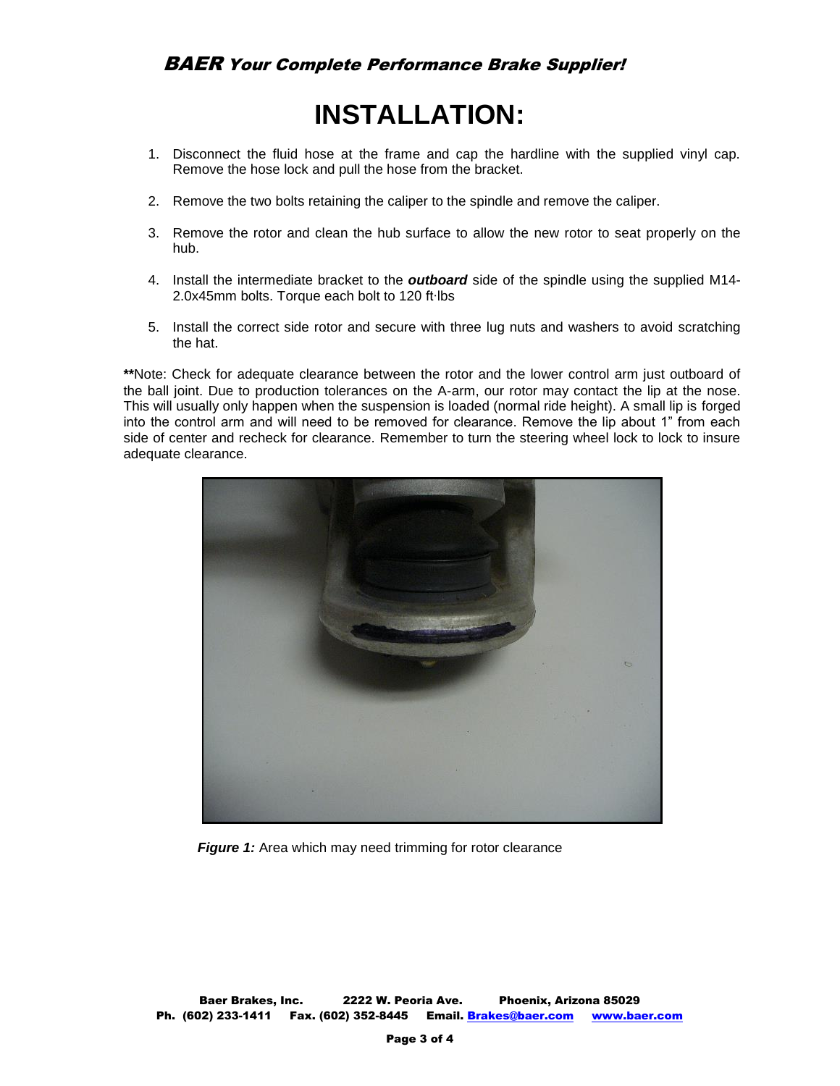## **INSTALLATION:**

- 1. Disconnect the fluid hose at the frame and cap the hardline with the supplied vinyl cap. Remove the hose lock and pull the hose from the bracket.
- 2. Remove the two bolts retaining the caliper to the spindle and remove the caliper.
- 3. Remove the rotor and clean the hub surface to allow the new rotor to seat properly on the hub.
- 4. Install the intermediate bracket to the *outboard* side of the spindle using the supplied M14- 2.0x45mm bolts. Torque each bolt to 120 ft∙lbs
- 5. Install the correct side rotor and secure with three lug nuts and washers to avoid scratching the hat.

**\*\***Note: Check for adequate clearance between the rotor and the lower control arm just outboard of the ball joint. Due to production tolerances on the A-arm, our rotor may contact the lip at the nose. This will usually only happen when the suspension is loaded (normal ride height). A small lip is forged into the control arm and will need to be removed for clearance. Remove the lip about 1" from each side of center and recheck for clearance. Remember to turn the steering wheel lock to lock to insure adequate clearance.



**Figure 1:** Area which may need trimming for rotor clearance